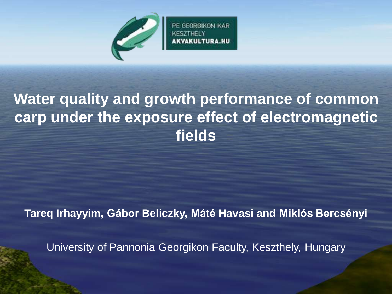

PE GEORGIKON KAR

## **Water quality and growth performance of common carp under the exposure effect of electromagnetic fields**

**Tareq Irhayyim, Gábor Beliczky, Máté Havasi and Miklós Bercsényi**

University of Pannonia Georgikon Faculty, Keszthely, Hungary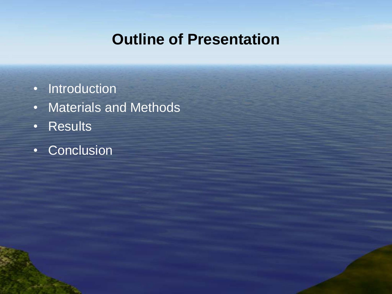#### **Outline of Presentation**

- Introduction
- Materials and Methods
- Results
- Conclusion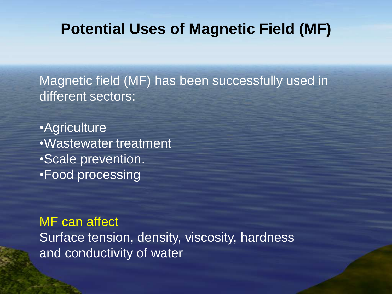#### **Potential Uses of Magnetic Field (MF)**

Magnetic field (MF) has been successfully used in different sectors:

•Agriculture •Wastewater treatment •Scale prevention. •Food processing

MF can affect Surface tension, density, viscosity, hardness and conductivity of water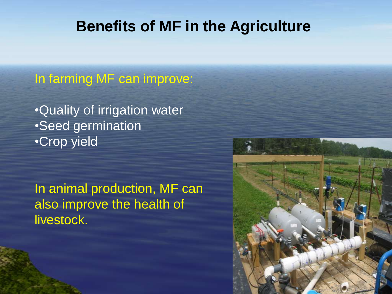#### **Benefits of MF in the Agriculture**

In farming MF can improve:

•Quality of irrigation water •Seed germination •Crop yield

In animal production, MF can also improve the health of livestock.

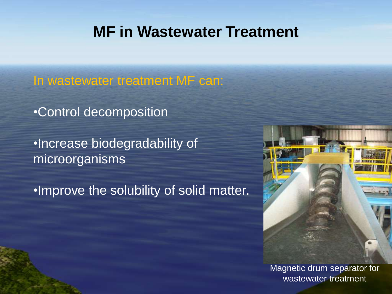#### **MF in Wastewater Treatment**

In wastewater treatment MF can:

•Control decomposition

•Increase biodegradability of microorganisms

•Improve the solubility of solid matter.



Magnetic drum separator for wastewater treatment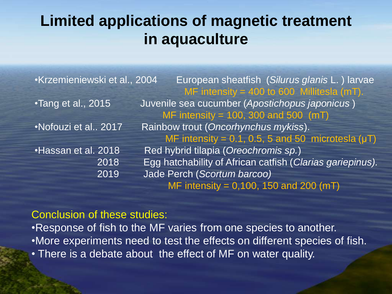### **Limited applications of magnetic treatment in aquaculture**

| Krzemieniewski et al., 2004 | European sheatfish (Silurus glanis L.) larvae             |
|-----------------------------|-----------------------------------------------------------|
|                             | MF intensity = 400 to 600 Millitesla (mT).                |
| •Tang et al., 2015          | Juvenile sea cucumber (Apostichopus japonicus)            |
|                             | MF intensity = 100, 300 and 500 $(mT)$                    |
| •Nofouzi et al., 2017       | Rainbow trout (Oncorhynchus mykiss).                      |
|                             | MF intensity = 0.1, 0.5, 5 and 50 microtesla $(\mu T)$    |
| •Hassan et al. 2018         | Red hybrid tilapia (Oreochromis sp.)                      |
| 2018                        | Egg hatchability of African catfish (Clarias gariepinus). |
| 2019                        | Jade Perch (Scortum barcoo)                               |
|                             | MF intensity = $0,100, 150$ and 200 (mT)                  |

#### Conclusion of these studies:

•Response of fish to the MF varies from one species to another. •More experiments need to test the effects on different species of fish. • There is a debate about the effect of MF on water quality.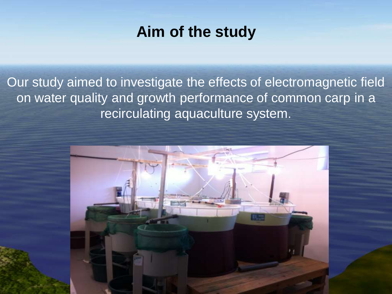#### **Aim of the study**

Our study aimed to investigate the effects of electromagnetic field on water quality and growth performance of common carp in a recirculating aquaculture system.

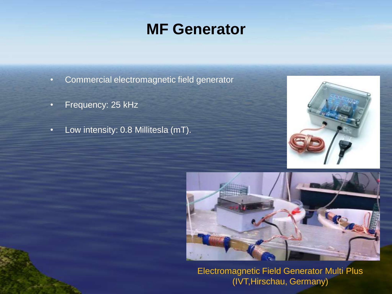#### **MF Generator**

- Commercial electromagnetic field generator
- Frequency: 25 kHz
- Low intensity: 0.8 Millitesla (mT).





Electromagnetic Field Generator Multi Plus (IVT,Hirschau, Germany)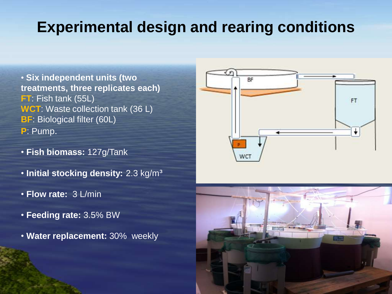#### **Experimental design and rearing conditions**

- **Six independent units (two treatments, three replicates each) FT**: Fish tank (55L) **WCT**: Waste collection tank (36 L) **BF: Biological filter (60L) P**: Pump.
- **Fish biomass:** 127g/Tank
- **Initial stocking density:** 2.3 kg/m³
- **Flow rate:** 3 L/min
- **Feeding rate:** 3.5% BW
- **Water replacement:** 30% weekly



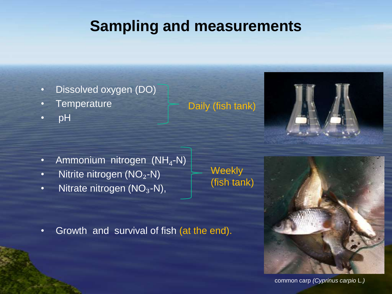### **Sampling and measurements**

- Dissolved oxygen (DO)
- **Temperature**
- pH

- Ammonium nitrogen (NH<sub>4</sub>-N)
- Nitrite nitrogen  $(NO<sub>2</sub>-N)$
- Nitrate nitrogen  $(NO<sub>3</sub>-N)$ ,

**Weekly** (fish tank)

Daily (fish tank)

• Growth and survival of fish (at the end).



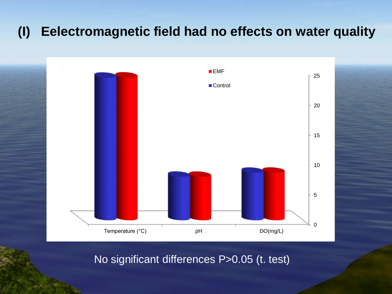#### **(I) Eelectromagnetic field had no effects on water quality**



No significant differences P>0.05 (t. test)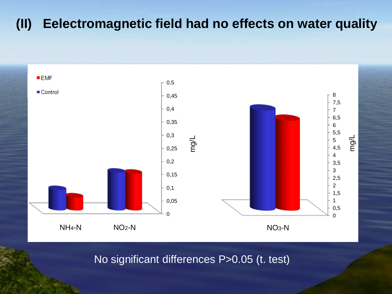#### **(II) Eelectromagnetic field had no effects on water quality**



No significant differences P>0.05 (t. test)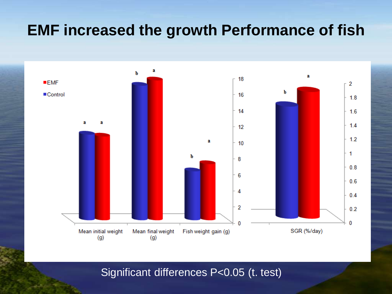#### **EMF increased the growth Performance of fish**



Significant differences P<0.05 (t. test)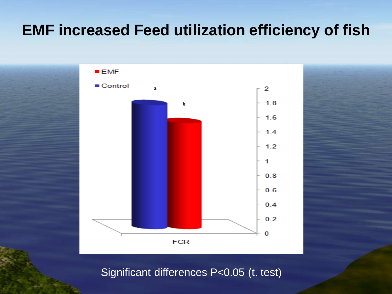#### **EMF increased Feed utilization efficiency of fish**



Significant differences P<0.05 (t. test)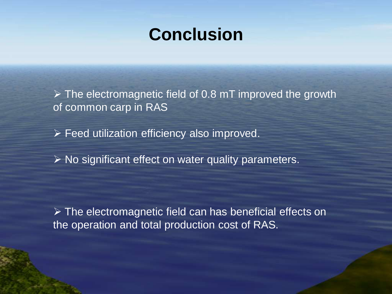# **Conclusion**

 $\triangleright$  The electromagnetic field of 0.8 mT improved the growth of common carp in RAS

▶ Feed utilization efficiency also improved.

 $\triangleright$  No significant effect on water quality parameters.

 $\triangleright$  The electromagnetic field can has beneficial effects on the operation and total production cost of RAS.